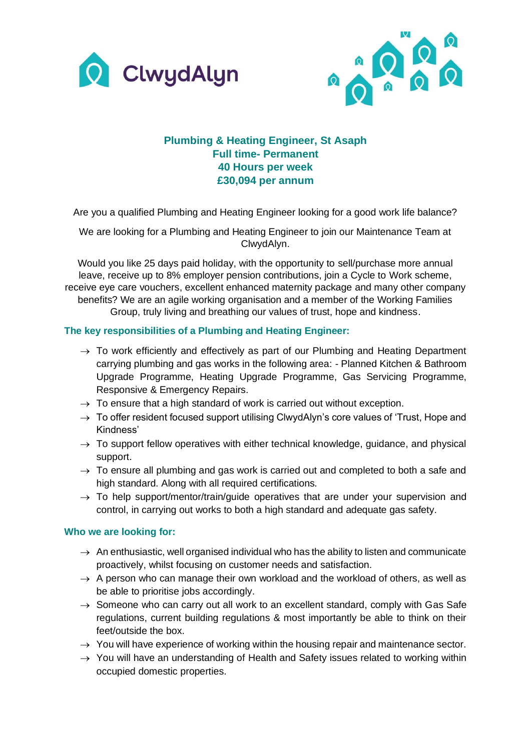



# **Plumbing & Heating Engineer, St Asaph Full time- Permanent 40 Hours per week £30,094 per annum**

Are you a qualified Plumbing and Heating Engineer looking for a good work life balance?

We are looking for a Plumbing and Heating Engineer to join our Maintenance Team at ClwydAlyn.

Would you like 25 days paid holiday, with the opportunity to sell/purchase more annual leave, receive up to 8% employer pension contributions, join a Cycle to Work scheme, receive eye care vouchers, excellent enhanced maternity package and many other company benefits? We are an agile working organisation and a member of the Working Families Group, truly living and breathing our values of trust, hope and kindness.

## **The key responsibilities of a Plumbing and Heating Engineer:**

- $\rightarrow$  To work efficiently and effectively as part of our Plumbing and Heating Department carrying plumbing and gas works in the following area: - Planned Kitchen & Bathroom Upgrade Programme, Heating Upgrade Programme, Gas Servicing Programme, Responsive & Emergency Repairs.
- $\rightarrow$  To ensure that a high standard of work is carried out without exception.
- $\rightarrow$  To offer resident focused support utilising ClwydAlyn's core values of 'Trust, Hope and Kindness'
- $\rightarrow$  To support fellow operatives with either technical knowledge, guidance, and physical support.
- $\rightarrow$  To ensure all plumbing and gas work is carried out and completed to both a safe and high standard. Along with all required certifications.
- $\rightarrow$  To help support/mentor/train/quide operatives that are under your supervision and control, in carrying out works to both a high standard and adequate gas safety.

#### **Who we are looking for:**

- $\rightarrow$  An enthusiastic, well organised individual who has the ability to listen and communicate proactively, whilst focusing on customer needs and satisfaction.
- $\rightarrow$  A person who can manage their own workload and the workload of others, as well as be able to prioritise jobs accordingly.
- $\rightarrow$  Someone who can carry out all work to an excellent standard, comply with Gas Safe regulations, current building regulations & most importantly be able to think on their feet/outside the box.
- $\rightarrow$  You will have experience of working within the housing repair and maintenance sector.
- $\rightarrow$  You will have an understanding of Health and Safety issues related to working within occupied domestic properties.